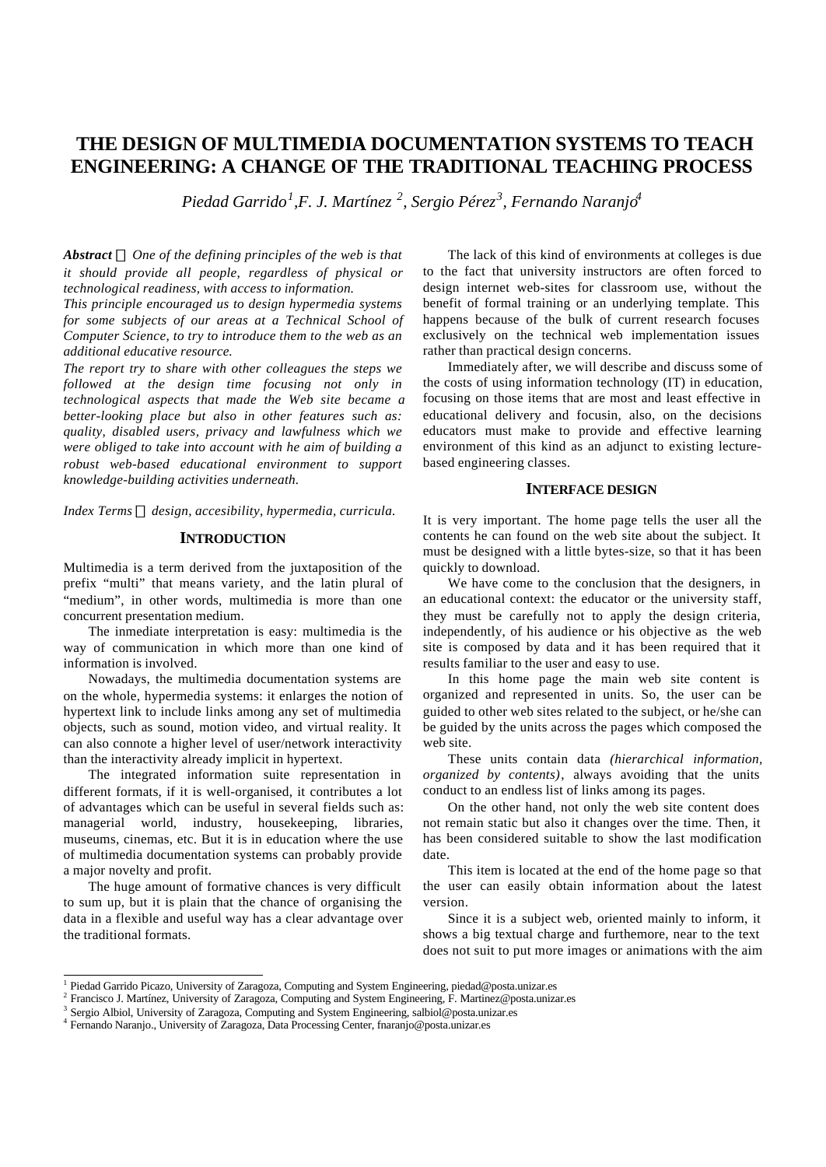## **THE DESIGN OF MULTIMEDIA DOCUMENTATION SYSTEMS TO TEACH ENGINEERING: A CHANGE OF THE TRADITIONAL TEACHING PROCESS**

*Piedad Garrido<sup>1</sup> ,F. J. Martínez <sup>2</sup> , Sergio Pérez<sup>3</sup> , Fernando Naranjo<sup>4</sup>*

*Abstract ¾ One of the defining principles of the web is that it should provide all people, regardless of physical or technological readiness, with access to information.*

*This principle encouraged us to design hypermedia systems for some subjects of our areas at a Technical School of Computer Science, to try to introduce them to the web as an additional educative resource.*

*The report try to share with other colleagues the steps we followed at the design time focusing not only in technological aspects that made the Web site became a better-looking place but also in other features such as: quality, disabled users, privacy and lawfulness which we were obliged to take into account with he aim of building a robust web-based educational environment to support knowledge-building activities underneath.*

*Index Terms ¾ design, accesibility, hypermedia, curricula.*

## **INTRODUCTION**

Multimedia is a term derived from the juxtaposition of the prefix "multi" that means variety, and the latin plural of "medium", in other words, multimedia is more than one concurrent presentation medium.

The inmediate interpretation is easy: multimedia is the way of communication in which more than one kind of information is involved.

Nowadays, the multimedia documentation systems are on the whole, hypermedia systems: it enlarges the notion of hypertext link to include links among any set of multimedia objects, such as sound, motion video, and virtual reality. It can also connote a higher level of user/network interactivity than the interactivity already implicit in hypertext.

The integrated information suite representation in different formats, if it is well-organised, it contributes a lot of advantages which can be useful in several fields such as: managerial world, industry, housekeeping, libraries, museums, cinemas, etc. But it is in education where the use of multimedia documentation systems can probably provide a major novelty and profit.

The huge amount of formative chances is very difficult to sum up, but it is plain that the chance of organising the data in a flexible and useful way has a clear advantage over the traditional formats.

The lack of this kind of environments at colleges is due to the fact that university instructors are often forced to design internet web-sites for classroom use, without the benefit of formal training or an underlying template. This happens because of the bulk of current research focuses exclusively on the technical web implementation issues rather than practical design concerns.

Immediately after, we will describe and discuss some of the costs of using information technology (IT) in education, focusing on those items that are most and least effective in educational delivery and focusin, also, on the decisions educators must make to provide and effective learning environment of this kind as an adjunct to existing lecturebased engineering classes.

#### **INTERFACE DESIGN**

It is very important. The home page tells the user all the contents he can found on the web site about the subject. It must be designed with a little bytes-size, so that it has been quickly to download.

We have come to the conclusion that the designers, in an educational context: the educator or the university staff, they must be carefully not to apply the design criteria, independently, of his audience or his objective as the web site is composed by data and it has been required that it results familiar to the user and easy to use.

In this home page the main web site content is organized and represented in units. So, the user can be guided to other web sites related to the subject, or he/she can be guided by the units across the pages which composed the web site.

These units contain data *(hierarchical information, organized by contents)*, always avoiding that the units conduct to an endless list of links among its pages.

On the other hand, not only the web site content does not remain static but also it changes over the time. Then, it has been considered suitable to show the last modification date.

This item is located at the end of the home page so that the user can easily obtain information about the latest version.

Since it is a subject web, oriented mainly to inform, it shows a big textual charge and furthemore, near to the text does not suit to put more images or animations with the aim

 1 Piedad Garrido Picazo, University of Zaragoza, Computing and System Engineering, piedad@posta.unizar.es

<sup>2</sup> Francisco J. Martínez, University of Zaragoza, Computing and System Engineering, F. Martinez@posta.unizar.es

<sup>&</sup>lt;sup>3</sup> Sergio Albiol, University of Zaragoza, Computing and System Engineering, salbiol@posta.unizar.es

<sup>4</sup> Fernando Naranjo., University of Zaragoza, Data Processing Center, fnaranjo@posta.unizar.es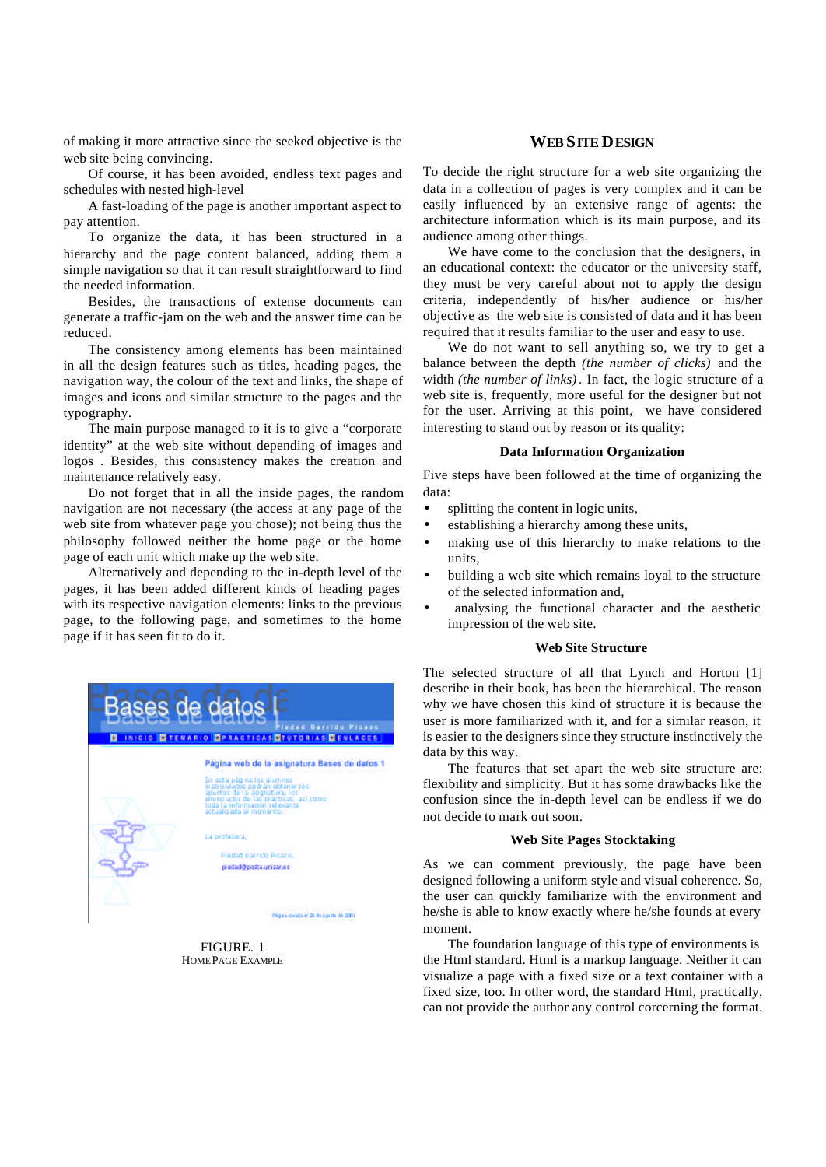of making it more attractive since the seeked objective is the web site being convincing.

Of course, it has been avoided, endless text pages and schedules with nested high-level

A fast-loading of the page is another important aspect to pay attention.

To organize the data, it has been structured in a hierarchy and the page content balanced, adding them a simple navigation so that it can result straightforward to find the needed information.

Besides, the transactions of extense documents can generate a traffic-jam on the web and the answer time can be reduced.

The consistency among elements has been maintained in all the design features such as titles, heading pages, the navigation way, the colour of the text and links, the shape of images and icons and similar structure to the pages and the typography.

The main purpose managed to it is to give a "corporate identity" at the web site without depending of images and logos . Besides, this consistency makes the creation and maintenance relatively easy.

Do not forget that in all the inside pages, the random navigation are not necessary (the access at any page of the web site from whatever page you chose); not being thus the philosophy followed neither the home page or the home page of each unit which make up the web site.

Alternatively and depending to the in-depth level of the pages, it has been added different kinds of heading pages with its respective navigation elements: links to the previous page, to the following page, and sometimes to the home page if it has seen fit to do it.



FIGURE. 1 HOME PAGE EXAMPLE

## **WEB SITE DESIGN**

To decide the right structure for a web site organizing the data in a collection of pages is very complex and it can be easily influenced by an extensive range of agents: the architecture information which is its main purpose, and its audience among other things.

We have come to the conclusion that the designers, in an educational context: the educator or the university staff, they must be very careful about not to apply the design criteria, independently of his/her audience or his/her objective as the web site is consisted of data and it has been required that it results familiar to the user and easy to use.

We do not want to sell anything so, we try to get a balance between the depth *(the number of clicks)* and the width *(the number of links)* . In fact, the logic structure of a web site is, frequently, more useful for the designer but not for the user. Arriving at this point, we have considered interesting to stand out by reason or its quality:

### **Data Information Organization**

Five steps have been followed at the time of organizing the data:

- splitting the content in logic units,
- establishing a hierarchy among these units,
- making use of this hierarchy to make relations to the units,
- building a web site which remains loyal to the structure of the selected information and,
- analysing the functional character and the aesthetic impression of the web site.

## **Web Site Structure**

The selected structure of all that Lynch and Horton [1] describe in their book, has been the hierarchical. The reason why we have chosen this kind of structure it is because the user is more familiarized with it, and for a similar reason, it is easier to the designers since they structure instinctively the data by this way.

The features that set apart the web site structure are: flexibility and simplicity. But it has some drawbacks like the confusion since the in-depth level can be endless if we do not decide to mark out soon.

## **Web Site Pages Stocktaking**

As we can comment previously, the page have been designed following a uniform style and visual coherence. So, the user can quickly familiarize with the environment and he/she is able to know exactly where he/she founds at every moment.

The foundation language of this type of environments is the Html standard. Html is a markup language. Neither it can visualize a page with a fixed size or a text container with a fixed size, too. In other word, the standard Html, practically, can not provide the author any control corcerning the format.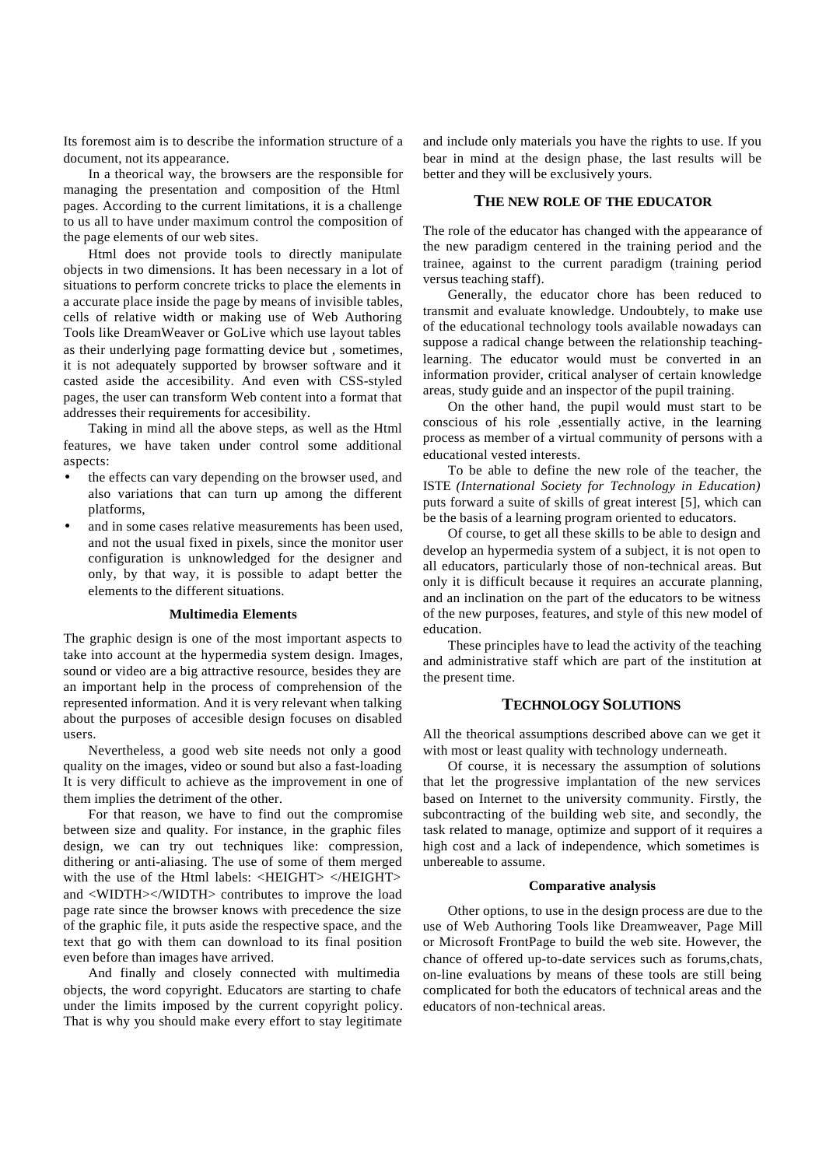Its foremost aim is to describe the information structure of a document, not its appearance.

In a theorical way, the browsers are the responsible for managing the presentation and composition of the Html pages. According to the current limitations, it is a challenge to us all to have under maximum control the composition of the page elements of our web sites.

Html does not provide tools to directly manipulate objects in two dimensions. It has been necessary in a lot of situations to perform concrete tricks to place the elements in a accurate place inside the page by means of invisible tables, cells of relative width or making use of Web Authoring Tools like DreamWeaver or GoLive which use layout tables as their underlying page formatting device but , sometimes, it is not adequately supported by browser software and it casted aside the accesibility. And even with CSS-styled pages, the user can transform Web content into a format that addresses their requirements for accesibility.

Taking in mind all the above steps, as well as the Html features, we have taken under control some additional aspects:

- the effects can vary depending on the browser used, and also variations that can turn up among the different platforms,
- and in some cases relative measurements has been used. and not the usual fixed in pixels, since the monitor user configuration is unknowledged for the designer and only, by that way, it is possible to adapt better the elements to the different situations.

#### **Multimedia Elements**

The graphic design is one of the most important aspects to take into account at the hypermedia system design. Images, sound or video are a big attractive resource, besides they are an important help in the process of comprehension of the represented information. And it is very relevant when talking about the purposes of accesible design focuses on disabled users.

Nevertheless, a good web site needs not only a good quality on the images, video or sound but also a fast-loading It is very difficult to achieve as the improvement in one of them implies the detriment of the other.

For that reason, we have to find out the compromise between size and quality. For instance, in the graphic files design, we can try out techniques like: compression, dithering or anti-aliasing. The use of some of them merged with the use of the Html labels: <HEIGHT> </HEIGHT> and <WIDTH></WIDTH> contributes to improve the load page rate since the browser knows with precedence the size of the graphic file, it puts aside the respective space, and the text that go with them can download to its final position even before than images have arrived.

And finally and closely connected with multimedia objects, the word copyright. Educators are starting to chafe under the limits imposed by the current copyright policy. That is why you should make every effort to stay legitimate

and include only materials you have the rights to use. If you bear in mind at the design phase, the last results will be better and they will be exclusively yours.

#### **THE NEW ROLE OF THE EDUCATOR**

The role of the educator has changed with the appearance of the new paradigm centered in the training period and the trainee, against to the current paradigm (training period versus teaching staff).

Generally, the educator chore has been reduced to transmit and evaluate knowledge. Undoubtely, to make use of the educational technology tools available nowadays can suppose a radical change between the relationship teachinglearning. The educator would must be converted in an information provider, critical analyser of certain knowledge areas, study guide and an inspector of the pupil training.

On the other hand, the pupil would must start to be conscious of his role ,essentially active, in the learning process as member of a virtual community of persons with a educational vested interests.

To be able to define the new role of the teacher, the ISTE *(International Society for Technology in Education)* puts forward a suite of skills of great interest [5], which can be the basis of a learning program oriented to educators.

Of course, to get all these skills to be able to design and develop an hypermedia system of a subject, it is not open to all educators, particularly those of non-technical areas. But only it is difficult because it requires an accurate planning, and an inclination on the part of the educators to be witness of the new purposes, features, and style of this new model of education.

These principles have to lead the activity of the teaching and administrative staff which are part of the institution at the present time.

## **TECHNOLOGY SOLUTIONS**

All the theorical assumptions described above can we get it with most or least quality with technology underneath.

Of course, it is necessary the assumption of solutions that let the progressive implantation of the new services based on Internet to the university community. Firstly, the subcontracting of the building web site, and secondly, the task related to manage, optimize and support of it requires a high cost and a lack of independence, which sometimes is unbereable to assume.

#### **Comparative analysis**

Other options, to use in the design process are due to the use of Web Authoring Tools like Dreamweaver, Page Mill or Microsoft FrontPage to build the web site. However, the chance of offered up-to-date services such as forums,chats, on-line evaluations by means of these tools are still being complicated for both the educators of technical areas and the educators of non-technical areas.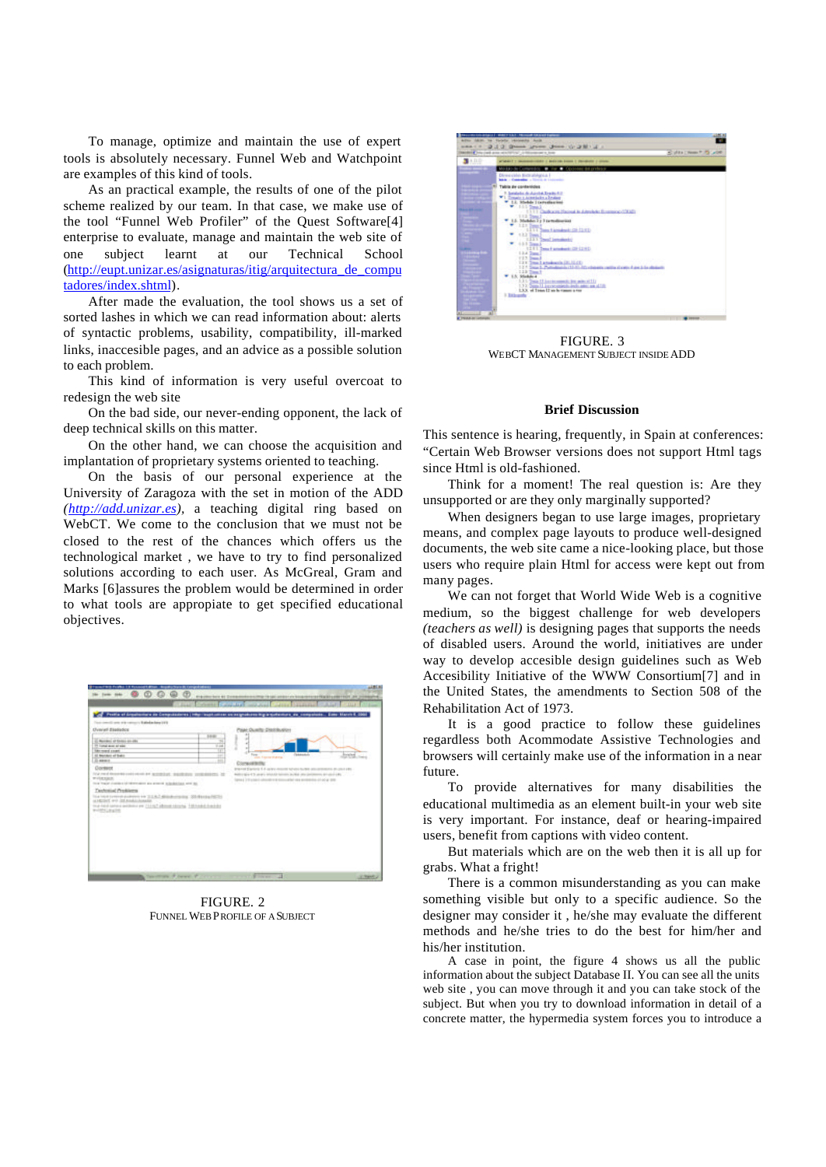To manage, optimize and maintain the use of expert tools is absolutely necessary. Funnel Web and Watchpoint are examples of this kind of tools.

As an practical example, the results of one of the pilot scheme realized by our team. In that case, we make use of the tool "Funnel Web Profiler" of the Quest Software[4] enterprise to evaluate, manage and maintain the web site of one subject learnt at our Technical School (http://eupt.unizar.es/asignaturas/itig/arquitectura\_de\_compu tadores/index.shtml).

After made the evaluation, the tool shows us a set of sorted lashes in which we can read information about: alerts of syntactic problems, usability, compatibility, ill-marked links, inaccesible pages, and an advice as a possible solution to each problem.

This kind of information is very useful overcoat to redesign the web site

On the bad side, our never-ending opponent, the lack of deep technical skills on this matter.

On the other hand, we can choose the acquisition and implantation of proprietary systems oriented to teaching.

On the basis of our personal experience at the University of Zaragoza with the set in motion of the ADD *(http://add.unizar.es),* a teaching digital ring based on WebCT. We come to the conclusion that we must not be closed to the rest of the chances which offers us the technological market , we have to try to find personalized solutions according to each user. As McGreal, Gram and Marks [6]assures the problem would be determined in order to what tools are appropiate to get specified educational objectives.



FIGURE. 2 FUNNEL WEB PROFILE OF A SUBJECT



FIGURE. 3 WEBCT MANAGEMENT SUBJECT INSIDE ADD

#### **Brief Discussion**

This sentence is hearing, frequently, in Spain at conferences: "Certain Web Browser versions does not support Html tags since Html is old-fashioned.

Think for a moment! The real question is: Are they unsupported or are they only marginally supported?

When designers began to use large images, proprietary means, and complex page layouts to produce well-designed documents, the web site came a nice-looking place, but those users who require plain Html for access were kept out from many pages.

We can not forget that World Wide Web is a cognitive medium, so the biggest challenge for web developers *(teachers as well)* is designing pages that supports the needs of disabled users. Around the world, initiatives are under way to develop accesible design guidelines such as Web Accesibility Initiative of the WWW Consortium[7] and in the United States, the amendments to Section 508 of the Rehabilitation Act of 1973.

It is a good practice to follow these guidelines regardless both Acommodate Assistive Technologies and browsers will certainly make use of the information in a near future.

To provide alternatives for many disabilities the educational multimedia as an element built-in your web site is very important. For instance, deaf or hearing-impaired users, benefit from captions with video content.

But materials which are on the web then it is all up for grabs. What a fright!

There is a common misunderstanding as you can make something visible but only to a specific audience. So the designer may consider it , he/she may evaluate the different methods and he/she tries to do the best for him/her and his/her institution.

A case in point, the figure 4 shows us all the public information about the subject Database II. You can see all the units web site , you can move through it and you can take stock of the subject. But when you try to download information in detail of a concrete matter, the hypermedia system forces you to introduce a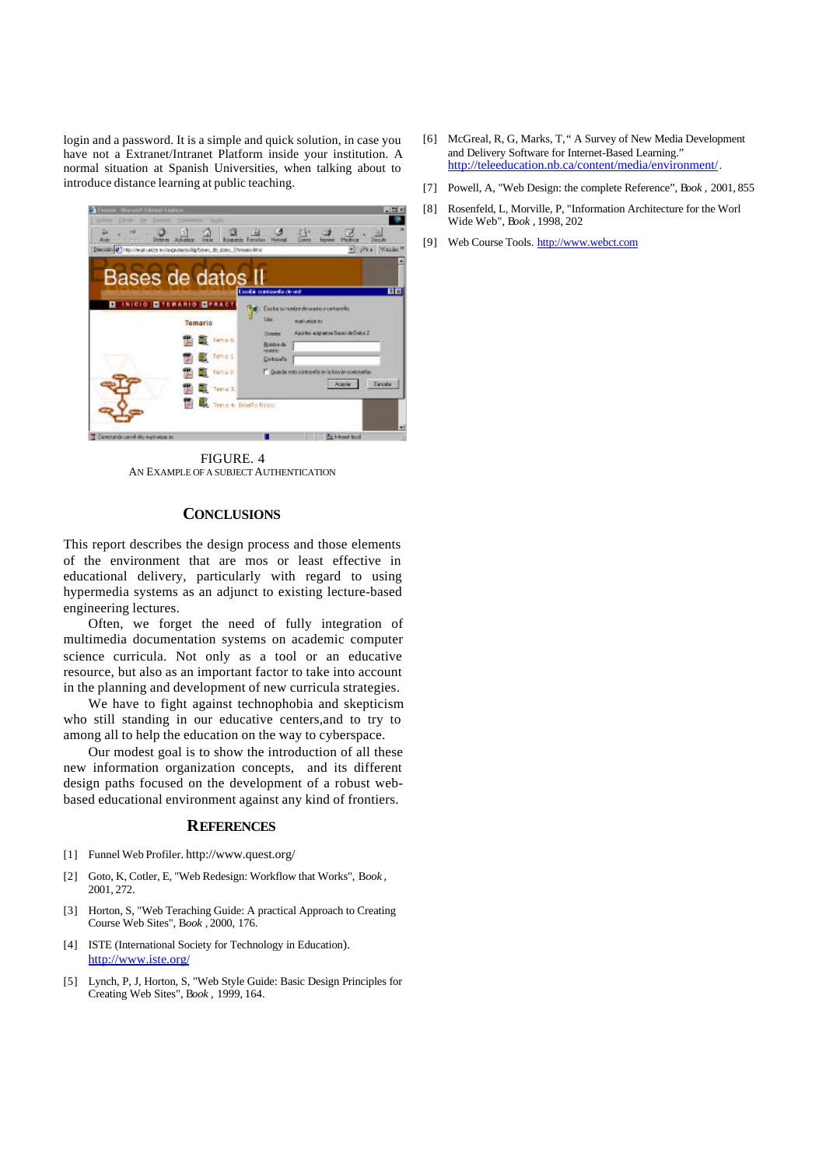login and a password. It is a simple and quick solution, in case you have not a Extranet/Intranet Platform inside your institution. A normal situation at Spanish Universities, when talking about to introduce distance learning at public teaching.



FIGURE. 4 AN EXAMPLE OF A SUBJECT AUTHENTICATION

## **CONCLUSIONS**

This report describes the design process and those elements of the environment that are mos or least effective in educational delivery, particularly with regard to using hypermedia systems as an adjunct to existing lecture-based engineering lectures.

Often, we forget the need of fully integration of multimedia documentation systems on academic computer science curricula. Not only as a tool or an educative resource, but also as an important factor to take into account in the planning and development of new curricula strategies.

We have to fight against technophobia and skepticism who still standing in our educative centers,and to try to among all to help the education on the way to cyberspace.

Our modest goal is to show the introduction of all these new information organization concepts, and its different design paths focused on the development of a robust webbased educational environment against any kind of frontiers.

#### **REFERENCES**

- [1] Funnel Web Profiler. http://www.quest.org/
- [2] Goto, K, Cotler, E, "Web Redesign: Workflow that Works", B*ook ,* 2001, 272.
- [3] Horton, S, "Web Teraching Guide: A practical Approach to Creating Course Web Sites", B*ook ,* 2000, 176.
- [4] ISTE (International Society for Technology in Education). http://www.iste.org/
- [5] Lynch, P, J, Horton, S, "Web Style Guide: Basic Design Principles for Creating Web Sites", B*ook ,* 1999, 164.
- [6] McGreal, R, G, Marks, T," A Survey of New Media Development and Delivery Software for Internet-Based Learning.' http://teleeducation.nb.ca/content/media/environment/.
- [7] Powell, A, "Web Design: the complete Reference", B*ook ,* 2001, 855
- [8] Rosenfeld, L, Morville, P, "Information Architecture for the Worl Wide Web", B*ook ,* 1998, 202
- [9] Web Course Tools. http://www.webct.com